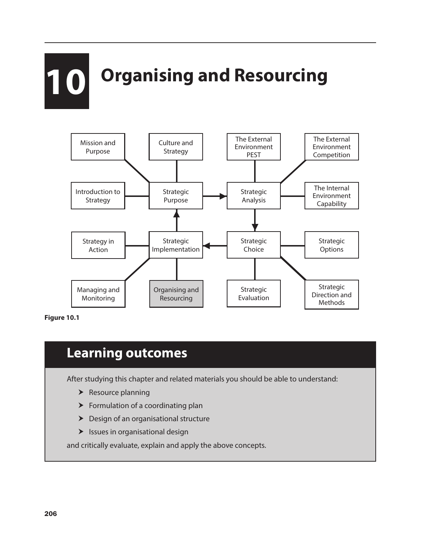# **10** Organising and Resourcing



**Figure 10.1**

# **Learning outcomes**

After studying this chapter and related materials you should be able to understand:

- $\blacktriangleright$  Resource planning
- $\blacktriangleright$  Formulation of a coordinating plan
- $\blacktriangleright$  Design of an organisational structure
- $\blacktriangleright$  Issues in organisational design

and critically evaluate, explain and apply the above concepts.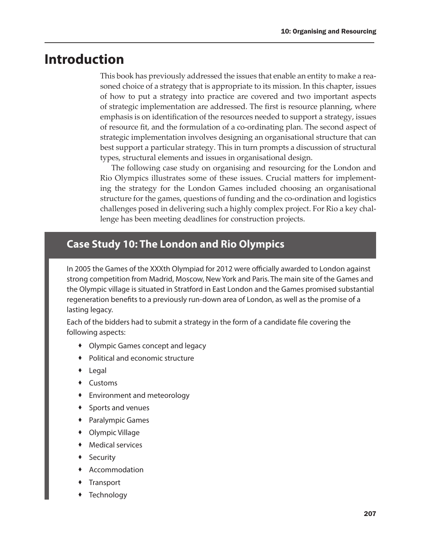## **Introduction**

This book has previously addressed the issues that enable an entity to make a reasoned choice of a strategy that is appropriate to its mission. In this chapter, issues of how to put a strategy into practice are covered and two important aspects of strategic implementation are addressed. The first is resource planning, where emphasis is on identification of the resources needed to support a strategy, issues of resource fit, and the formulation of a co-ordinating plan. The second aspect of strategic implementation involves designing an organisational structure that can best support a particular strategy. This in turn prompts a discussion of structural types, structural elements and issues in organisational design.

The following case study on organising and resourcing for the London and Rio Olympics illustrates some of these issues. Crucial matters for implementing the strategy for the London Games included choosing an organisational structure for the games, questions of funding and the co-ordination and logistics challenges posed in delivering such a highly complex project. For Rio a key challenge has been meeting deadlines for construction projects.

## **Case Study 10: The London and Rio Olympics**

In 2005 the Games of the XXXth Olympiad for 2012 were officially awarded to London against strong competition from Madrid, Moscow, New York and Paris. The main site of the Games and the Olympic village is situated in Stratford in East London and the Games promised substantial regeneration benefits to a previously run-down area of London, as well as the promise of a lasting legacy.

Each of the bidders had to submit a strategy in the form of a candidate file covering the following aspects:

- Olympic Games concept and legacy
- Political and economic structure
- Legal
- Customs
- Environment and meteorology
- Sports and venues
- Paralympic Games
- Olympic Village
- Medical services
- Security
- Accommodation
- **Transport**
- **Technology**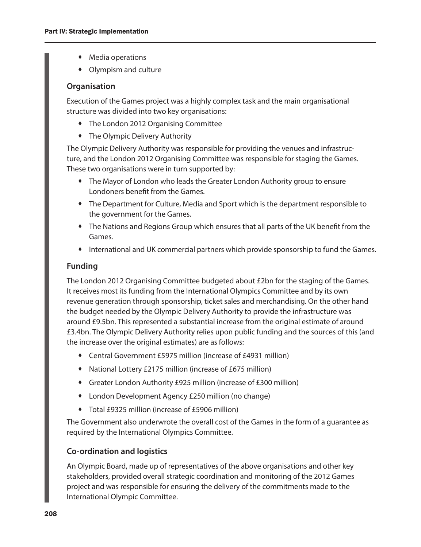- Media operations
- Olympism and culture

#### **Organisation**

Execution of the Games project was a highly complex task and the main organisational structure was divided into two key organisations:

- The London 2012 Organising Committee
- The Olympic Delivery Authority

The Olympic Delivery Authority was responsible for providing the venues and infrastructure, and the London 2012 Organising Committee was responsible for staging the Games. These two organisations were in turn supported by:

- The Mayor of London who leads the Greater London Authority group to ensure Londoners benefit from the Games.
- The Department for Culture, Media and Sport which is the department responsible to the government for the Games.
- The Nations and Regions Group which ensures that all parts of the UK benefit from the Games.
- International and UK commercial partners which provide sponsorship to fund the Games.

#### **Funding**

The London 2012 Organising Committee budgeted about £2bn for the staging of the Games. It receives most its funding from the International Olympics Committee and by its own revenue generation through sponsorship, ticket sales and merchandising. On the other hand the budget needed by the Olympic Delivery Authority to provide the infrastructure was around £9.5bn. This represented a substantial increase from the original estimate of around £3.4bn. The Olympic Delivery Authority relies upon public funding and the sources of this (and the increase over the original estimates) are as follows:

- Central Government £5975 million (increase of £4931 million)
- National Lottery £2175 million (increase of £675 million)
- Greater London Authority £925 million (increase of £300 million)
- London Development Agency £250 million (no change)
- Total £9325 million (increase of £5906 million)

The Government also underwrote the overall cost of the Games in the form of a guarantee as required by the International Olympics Committee.

#### **Co-ordination and logistics**

An Olympic Board, made up of representatives of the above organisations and other key stakeholders, provided overall strategic coordination and monitoring of the 2012 Games project and was responsible for ensuring the delivery of the commitments made to the International Olympic Committee.